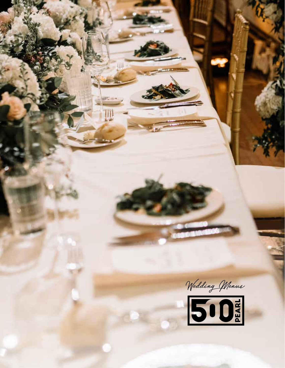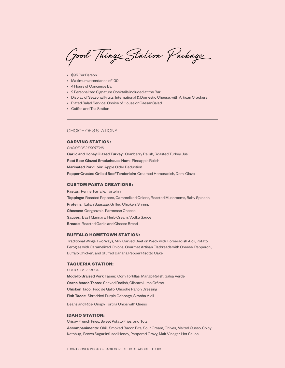Good Things Station Package

- \$95 Per Person
- Maximum attendance of 100
- 4 Hours of Concierge Bar
- 2 Personalized Signature Cocktails included at the Bar
- Display of Seasonal Fruits, International & Domestic Cheese, with Artisan Crackers
- Plated Salad Service: Choice of House or Caesar Salad
- Coffee and Tea Station

# CHOICE OF 3 STATIONS

#### **CARVING STATION:**

*CHOICE OF 2 PROTEINS*

Garlic and Honey Glazed Turkey: Cranberry Relish, Roasted Turkey Jus Root Beer Glazed Smokehouse Ham: Pineapple Relish Marinated Pork Loin: Apple Cider Reduction Pepper Crusted Grilled Beef Tenderloin: Creamed Horseradish, Demi Glaze

### **CUSTOM PASTA CREATIONS:**

Pastas: Penne, Farfalle, Tortellini Toppings: Roasted Peppers, Caramelized Onions, Roasted Mushrooms, Baby Spinach Proteins: Italian Sausage, Grilled Chicken, Shrimp Cheeses: Gorgonzola, Parmesan Cheese Sauces: Basil Marinara, Herb Cream, Vodka Sauce Breads: Roasted Garlic and Cheese Bread

## **BUFFALO HOMETOWN STATION:**

Traditional Wings Two Ways, Mini Carved Beef on Weck with Horseradish Aioli, Potato Perogies with Caramelized Onions, Gourmet Artisan Flatbreads with Cheese, Pepperoni, Buffalo Chicken, and Stuffed Banana Pepper Risotto Cake

### **TAQUERIA STATION:**

*CHOICE OF 2 TACOS*

Modello Braised Pork Tacos: Corn Tortillas, Mango Relish, Salsa Verde Carne Asada Tacos: Shaved Radish, Cilantro Lime Crème Chicken Taco: Pico de Gallo, Chipotle Ranch Dressing Fish Tacos: Shredded Purple Cabbage, Siracha Aioli

Beans and Rice, Crispy Tortilla Chips with Queso

### **IDAHO STATION:**

Crispy French Fries, Sweet Potato Fries, and Tots Accompaniments: Chili, Smoked Bacon Bits, Sour Cream, Chives, Melted Queso, Spicy Ketchup, Brown Sugar Infused Honey, Peppered Gravy, Malt Vinegar, Hot Sauce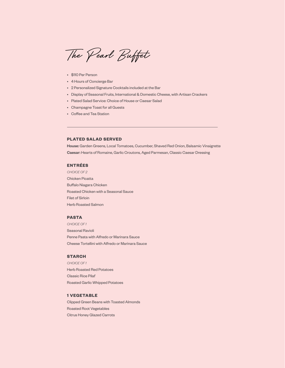The Pearl Buffet

- \$110 Per Person
- 4 Hours of Concierge Bar
- 2 Personalized Signature Cocktails included at the Bar
- Display of Seasonal Fruits, International & Domestic Cheese, with Artisan Crackers
- Plated Salad Service: Choice of House or Caesar Salad
- Champagne Toast for all Guests
- Coffee and Tea Station

# **PLATED SALAD SERVED**

House: Garden Greens, Local Tomatoes, Cucumber, Shaved Red Onion, Balsamic Vinaigrette Caesar: Hearts of Romaine, Garlic Croutons, Aged Parmesan, Classic Caesar Dressing

### **ENTRÉES**

*CHOICE OF 2* Chicken Picatta Buffalo Niagara Chicken Roasted Chicken with a Seasonal Sauce Filet of Sirloin Herb Roasted Salmon

# **PASTA**

*CHOICE OF 1* Seasonal Ravioli Penne Pasta with Alfredo or Marinara Sauce Cheese Tortellini with Alfredo or Marinara Sauce

### **STARCH**

*CHOICE OF 1* Herb Roasted Red Potatoes Classic Rice Pilaf Roasted Garlic Whipped Potatoes

## **1 VEGETABLE**

Clipped Green Beans with Toasted Almonds Roasted Root Vegetables Citrus Honey Glazed Carrots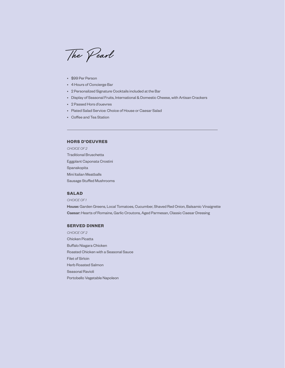The Pearl

- \$99 Per Person
- 4 Hours of Concierge Bar
- 2 Personalized Signature Cocktails included at the Bar
- Display of Seasonal Fruits, International & Domestic Cheese, with Artisan Crackers
- 2 Passed Hors d'ouevres
- Plated Salad Service: Choice of House or Caesar Salad
- Coffee and Tea Station

# **HORS D'OEUVRES**

*CHOICE OF 2* Traditional Bruschetta Eggplant Caponata Crostini Spanakopita Mini Italian Meatballs Sausage Stuffed Mushrooms

## **SALAD**

*CHOICE OF 1* House: Garden Greens, Local Tomatoes, Cucumber, Shaved Red Onion, Balsamic Vinaigrette Caesar: Hearts of Romaine, Garlic Croutons, Aged Parmesan, Classic Caesar Dressing

### **SERVED DINNER**

*CHOICE OF 2* Chicken Picatta Buffalo Niagara Chicken Roasted Chicken with a Seasonal Sauce Filet of Sirloin Herb Roasted Salmon Seasonal Ravioli Portobello Vegetable Napoleon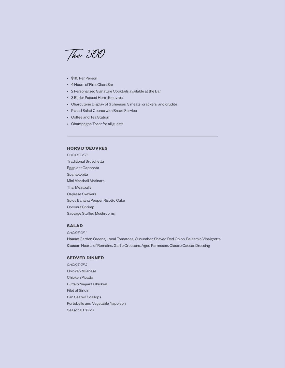The 500

- \$110 Per Person
- 4 Hours of First Class Bar
- 2 Personalized Signature Cocktails available at the Bar
- 3 Butler Passed Hors d'oeuvres
- Charcuterie Display of 3 cheeses, 3 meats, crackers, and crudité
- Plated Salad Course with Bread Service
- Coffee and Tea Station
- Champagne Toast for all guests

## **HORS D'OEUVRES**

*CHOICE OF 3* Traditional Bruschetta Eggplant Caponata Spanakopita Mini Meatball Marinara Thai Meatballs Caprese Skewers Spicy Banana Pepper Risotto Cake Coconut Shrimp Sausage Stuffed Mushrooms

# **SALAD**

*CHOICE OF 1*

House: Garden Greens, Local Tomatoes, Cucumber, Shaved Red Onion, Balsamic Vinaigrette Caesar: Hearts of Romaine, Garlic Croutons, Aged Parmesan, Classic Caesar Dressing

## **SERVED DINNER**

*CHOICE OF 2* Chicken Milanese Chicken Picatta Buffalo Niagara Chicken Filet of Sirloin Pan Seared Scallops Portobello and Vegetable Napoleon Seasonal Ravioli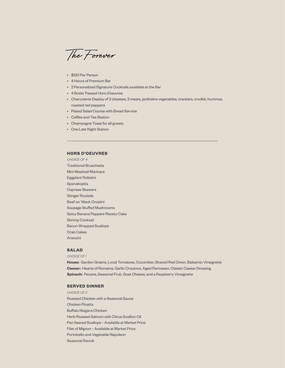The Forever

- \$120 Per Person
- 4 Hours of Premium Bar
- 2 Personalized Signature Cocktails available at the Bar
- 4 Butler Passed Hors d'oeuvres
- Charcuterie Display of 3 cheeses, 3 meats, jardinière vegetables, crackers, crudité, hummus, roasted red peppers
- Plated Salad Course with Bread Service
- Coffee and Tea Station
- Champagne Toast for all guests
- One Late Night Station

### **HORS D'OEUVRES**

*CHOICE OF 4* Traditional Bruschetta Mini Meatball Marinara Eggplant Rollatini Spanakopita Caprese Skewers Stinger Roulade Beef on 'Weck Crostini Sausage Stuffed Mushrooms Spicy Banana Peppers Risotto Cake Shrimp Cocktail Bacon Wrapped Scallops Crab Cakes Arancini

### **SALAD**

*CHOICE OF 1*

**House:** Garden Greens, Local Tomatoes, Cucumber, Shaved Red Onion, Balsamic Vinaigrette **Caesar:** Hearts of Romaine, Garlic Croutons, Aged Parmesan, Classic Caesar Dressing **Spinach:** Pecans, Seasonal Fruit, Goat Cheese, and a Raspberry Vinaigrette

## **SERVED DINNER**

*CHOICE OF 2*  Roasted Chicken with a Seasonal Sauce Chicken Picatta Buffalo Niagara Chicken Herb Roasted Salmon with Citrus Scallion Oil Pan Seared Scallops ~ Available at Market Price Filet of Mignon ~ Available at Market Price Portobello and Vegetable Napoleon Seasonal Ravioli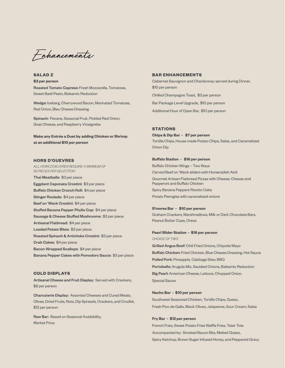Enhancements

**SALAD Z \$3 per person** Roasted Tomato Caprese: Fresh Mozzarella, Tomatoes, Sweet Basil Pesto, Balsamic Reduction

Wedge: Iceberg, Cherrywood Bacon, Marinated Tomatoes, Red Onion, Bleu Cheese Dressing

Spinach: Pecans, Seasonal Fruit, Pickled Red Onion, Goat Cheese, and Raspberry Vinaigrette

**Make any Entrée a Duet by adding Chicken or Shrimp at an additional \$10 per person**

### **HORS D'OUEVRES**

*ALL HORS D'OEUVRES REQUIRE A MINIMUM OF 50 PIECES PER SELECTION*  Thai Meatballs: \$3 per piece Eggplant Caponata Crostini: \$3 per piece Buffalo Chicken Crunch Roll: \$4 per piece Stinger Roulade: \$4 per piece Beef on 'Weck Crostini: \$4 per piece Stuffed Banana Pepper Phyllo Cup: \$4 per piece Sausage & Cheese Stuffed Mushrooms: \$3 per piece Artisanal Flatbread: \$4 per piece Loaded Potato Bites: \$3 per piece Roasted Spinach & Artichoke Crostini: \$3 per piece Crab Cakes: \$4 per piece Bacon-Wrapped Scallops: \$4 per piece Banana Pepper Cakes with Pomodoro Sauce: \$3 per piece

### **COLD DISPLAYS**

Artisanal Cheese and Fruit Display: Served with Crackers, \$8 per person

Charcuterie Display: Assorted Cheeses and Cured Meats, Olives, Dried Fruits, Nuts, Dip Spreads, Crackers, and Crudité, \$12 per person

Raw Bar: Based on Seasonal Availability, Market Price

#### **BAR ENHANCEMENTS**

Cabernet Sauvignon and Chardonnay served during Dinner, \$10 per person

Chilled Champagne Toast, \$3 per person

Bar Package Level Upgrade, \$10 per person

Additional Hour of Open Bar, \$10 per person

#### **STATIONS**

**Chips & Dip Bar - \$7 per person** Tortilla Chips, House made Potato Chips, Salsa, and Caramelized Onion Dip

#### **Buffalo Station - \$16 per person**

Buffalo Chicken Wings – Two Ways Carved Beef on 'Weck sliders with Horseradish Aioli Gourmet Artisan Flatbread Pizzas with Cheese, Cheese and Pepperoni and Buffalo Chicken Spicy Banana Peppers Risotto Cake Potato Pierogies with caramelized onions

### **S'mores Bar - \$10 per person**

Graham Crackers, Marshmallows, Milk or Dark Chocolate Bars, Peanut Butter Cups, Oreos

#### **Pearl Slider Station - \$16 per person**

*CHOICE OF TWO*

Grilled Angus Beef: Chili Fried Onions, Chipotle Mayo Buffalo Chicken: Fried Chicken, Blue Cheese Dressing, Hot Sauce Pulled Pork: Pineapple, Cabbage Slaw, BBQ Portobello: Arugula Mix, Sautéed Onions, Balsamic Reduction Big Pearl: American Cheese, Lettuce, Chopped Onion, Special Sauce

#### **Nacho Bar - \$10 per person**

Southwest Seasoned Chicken, Tortilla Chips, Queso, Fresh Pico de Gallo, Black Olives, Jalapenos, Sour Cream, Salsa

#### **Fry Bar - \$12 per person**

French Fries, Sweet Potato Fries Waffle Fries, Tater Tots Accompanied by: Smoked Bacon Bits, Melted Queso, Spicy Ketchup, Brown Sugar Infused Honey, and Peppered Gravy